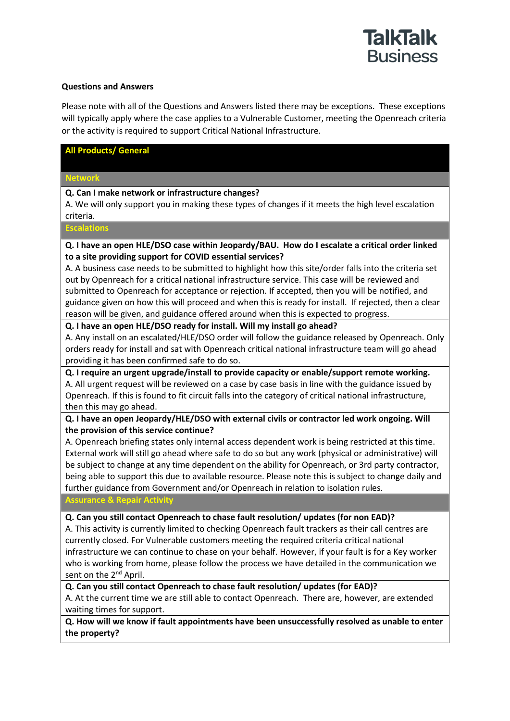

#### **Questions and Answers**

Please note with all of the Questions and Answers listed there may be exceptions. These exceptions will typically apply where the case applies to a Vulnerable Customer, meeting the Openreach criteria or the activity is required to support Critical National Infrastructure.

#### **All Products/ General**

# **Network**

**Q. Can I make network or infrastructure changes?**

A. We will only support you in making these types of changes if it meets the high level escalation criteria.

**Escalations** 

**Q. I have an open HLE/DSO case within Jeopardy/BAU. How do I escalate a critical order linked to a site providing support for COVID essential services?**

A. A business case needs to be submitted to highlight how this site/order falls into the criteria set out by Openreach for a critical national infrastructure service. This case will be reviewed and submitted to Openreach for acceptance or rejection. If accepted, then you will be notified, and guidance given on how this will proceed and when this is ready for install. If rejected, then a clear reason will be given, and guidance offered around when this is expected to progress.

#### **Q. I have an open HLE/DSO ready for install. Will my install go ahead?**

A. Any install on an escalated/HLE/DSO order will follow the guidance released by Openreach. Only orders ready for install and sat with Openreach critical national infrastructure team will go ahead providing it has been confirmed safe to do so.

### **Q. I require an urgent upgrade/install to provide capacity or enable/support remote working.**

A. All urgent request will be reviewed on a case by case basis in line with the guidance issued by Openreach. If this is found to fit circuit falls into the category of critical national infrastructure, then this may go ahead.

### **Q. I have an open Jeopardy/HLE/DSO with external civils or contractor led work ongoing. Will the provision of this service continue?**

A. Openreach briefing states only internal access dependent work is being restricted at this time. External work will still go ahead where safe to do so but any work (physical or administrative) will be subject to change at any time dependent on the ability for Openreach, or 3rd party contractor, being able to support this due to available resource. Please note this is subject to change daily and further guidance from Government and/or Openreach in relation to isolation rules.

**Assurance & Repair Activity**

### **Q. Can you still contact Openreach to chase fault resolution/ updates (for non EAD)?**

A. This activity is currently limited to checking Openreach fault trackers as their call centres are currently closed. For Vulnerable customers meeting the required criteria critical national infrastructure we can continue to chase on your behalf. However, if your fault is for a Key worker who is working from home, please follow the process we have detailed in the communication we sent on the 2<sup>nd</sup> April.

**Q. Can you still contact Openreach to chase fault resolution/ updates (for EAD)?**

A. At the current time we are still able to contact Openreach. There are, however, are extended waiting times for support.

**Q. How will we know if fault appointments have been unsuccessfully resolved as unable to enter the property?**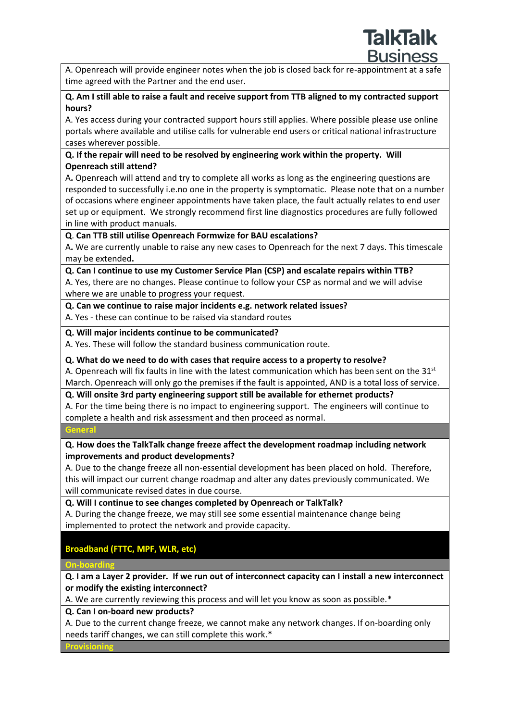A. Openreach will provide engineer notes when the job is closed back for re-appointment at a safe time agreed with the Partner and the end user.

# **Q. Am I still able to raise a fault and receive support from TTB aligned to my contracted support hours?**

A. Yes access during your contracted support hours still applies. Where possible please use online portals where available and utilise calls for vulnerable end users or critical national infrastructure cases wherever possible.

# **Q. If the repair will need to be resolved by engineering work within the property. Will Openreach still attend?**

A**.** Openreach will attend and try to complete all works as long as the engineering questions are responded to successfully i.e.no one in the property is symptomatic. Please note that on a number of occasions where engineer appointments have taken place, the fault actually relates to end user set up or equipment. We strongly recommend first line diagnostics procedures are fully followed in line with product manuals.

# **Q**. **Can TTB still utilise Openreach Formwize for BAU escalations?**

A**.** We are currently unable to raise any new cases to Openreach for the next 7 days. This timescale may be extended**.**

**Q. Can I continue to use my Customer Service Plan (CSP) and escalate repairs within TTB?**

A. Yes, there are no changes. Please continue to follow your CSP as normal and we will advise where we are unable to progress your request.

# **Q. Can we continue to raise major incidents e.g. network related issues?**

A. Yes - these can continue to be raised via standard routes

# **Q. Will major incidents continue to be communicated?**

A. Yes. These will follow the standard business communication route.

### **Q. What do we need to do with cases that require access to a property to resolve?**

A. Openreach will fix faults in line with the latest communication which has been sent on the 31st March. Openreach will only go the premises if the fault is appointed, AND is a total loss of service.

# **Q. Will onsite 3rd party engineering support still be available for ethernet products?**

A. For the time being there is no impact to engineering support. The engineers will continue to complete a health and risk assessment and then proceed as normal.

**General**

# **Q. How does the TalkTalk change freeze affect the development roadmap including network improvements and product developments?**

A. Due to the change freeze all non-essential development has been placed on hold. Therefore, this will impact our current change roadmap and alter any dates previously communicated. We will communicate revised dates in due course.

**Q. Will I continue to see changes completed by Openreach or TalkTalk?**

A. During the change freeze, we may still see some essential maintenance change being implemented to protect the network and provide capacity.

# **Broadband (FTTC, MPF, WLR, etc)**

# **On-boarding**

**Q. I am a Layer 2 provider. If we run out of interconnect capacity can I install a new interconnect or modify the existing interconnect?**

A. We are currently reviewing this process and will let you know as soon as possible.\*

# **Q. Can I on-board new products?**

A. Due to the current change freeze, we cannot make any network changes. If on-boarding only needs tariff changes, we can still complete this work.\*

**Provisioning**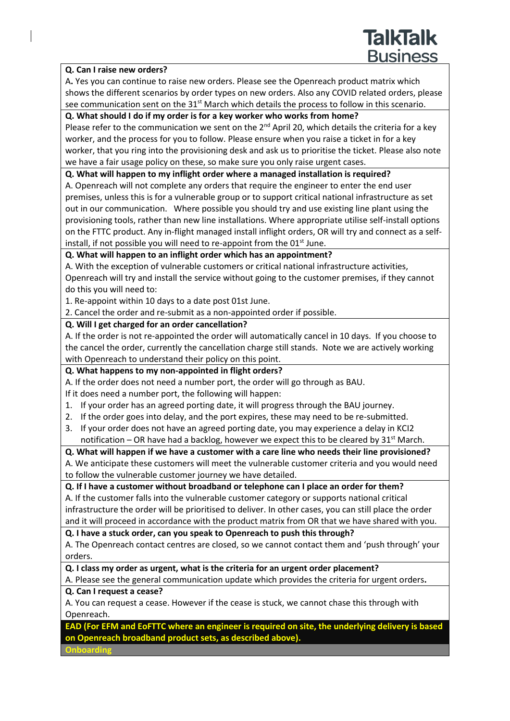#### **Q. Can I raise new orders?**

A**.** Yes you can continue to raise new orders. Please see the Openreach product matrix which shows the different scenarios by order types on new orders. Also any COVID related orders, please see communication sent on the 31<sup>st</sup> March which details the process to follow in this scenario.

**TalkTalk** 

**Business** 

#### **Q. What should I do if my order is for a key worker who works from home?**

Please refer to the communication we sent on the  $2<sup>nd</sup>$  April 20, which details the criteria for a key worker, and the process for you to follow. Please ensure when you raise a ticket in for a key worker, that you ring into the provisioning desk and ask us to prioritise the ticket. Please also note we have a fair usage policy on these, so make sure you only raise urgent cases.

#### **Q. What will happen to my inflight order where a managed installation is required?**

A. Openreach will not complete any orders that require the engineer to enter the end user premises, unless this is for a vulnerable group or to support critical national infrastructure as set out in our communication. Where possible you should try and use existing line plant using the provisioning tools, rather than new line installations. Where appropriate utilise self-install options on the FTTC product. Any in-flight managed install inflight orders, OR will try and connect as a selfinstall, if not possible you will need to re-appoint from the 01<sup>st</sup> June.

### **Q. What will happen to an inflight order which has an appointment?**

A. With the exception of vulnerable customers or critical national infrastructure activities, Openreach will try and install the service without going to the customer premises, if they cannot do this you will need to:

1. Re-appoint within 10 days to a date post 01st June.

2. Cancel the order and re-submit as a non-appointed order if possible.

#### **Q. Will I get charged for an order cancellation?**

A. If the order is not re-appointed the order will automatically cancel in 10 days. If you choose to the cancel the order, currently the cancellation charge still stands. Note we are actively working with Openreach to understand their policy on this point.

### **Q. What happens to my non-appointed in flight orders?**

A. If the order does not need a number port, the order will go through as BAU.

If it does need a number port, the following will happen:

- 1. If your order has an agreed porting date, it will progress through the BAU journey.
- 2. If the order goes into delay, and the port expires, these may need to be re-submitted.
- 3. If your order does not have an agreed porting date, you may experience a delay in KCI2 notification – OR have had a backlog, however we expect this to be cleared by  $31<sup>st</sup>$  March.

### **Q. What will happen if we have a customer with a care line who needs their line provisioned?**

A. We anticipate these customers will meet the vulnerable customer criteria and you would need to follow the vulnerable customer journey we have detailed.

### **Q. If I have a customer without broadband or telephone can I place an order for them?**

A. If the customer falls into the vulnerable customer category or supports national critical infrastructure the order will be prioritised to deliver. In other cases, you can still place the order and it will proceed in accordance with the product matrix from OR that we have shared with you.

**Q. I have a stuck order, can you speak to Openreach to push this through?**

A. The Openreach contact centres are closed, so we cannot contact them and 'push through' your orders.

**Q. I class my order as urgent, what is the criteria for an urgent order placement?**

A. Please see the general communication update which provides the criteria for urgent orders**. Q. Can I request a cease?**

A. You can request a cease. However if the cease is stuck, we cannot chase this through with Openreach.

**EAD (For EFM and EoFTTC where an engineer is required on site, the underlying delivery is based on Openreach broadband product sets, as described above).**

**Onboarding**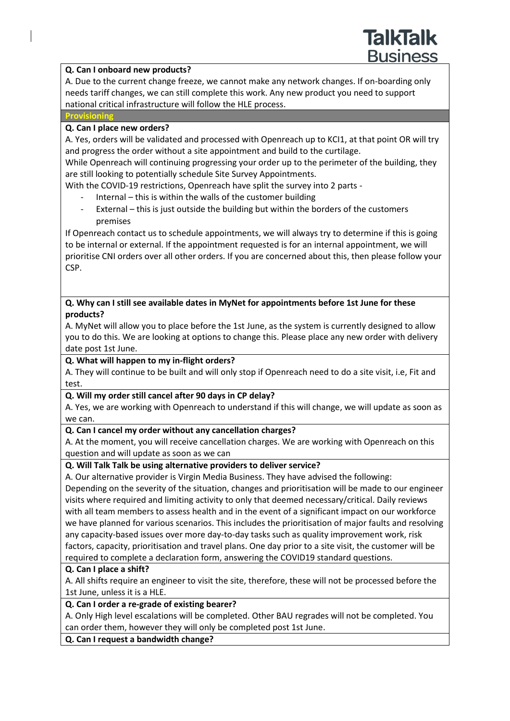### **Q. Can I onboard new products?**

A. Due to the current change freeze, we cannot make any network changes. If on-boarding only needs tariff changes, we can still complete this work. Any new product you need to support national critical infrastructure will follow the HLE process.

#### **Provisioning**

### **Q. Can I place new orders?**

A. Yes, orders will be validated and processed with Openreach up to KCI1, at that point OR will try and progress the order without a site appointment and build to the curtilage.

While Openreach will continuing progressing your order up to the perimeter of the building, they are still looking to potentially schedule Site Survey Appointments.

With the COVID-19 restrictions, Openreach have split the survey into 2 parts -

- Internal this is within the walls of the customer building
- External this is just outside the building but within the borders of the customers premises

If Openreach contact us to schedule appointments, we will always try to determine if this is going to be internal or external. If the appointment requested is for an internal appointment, we will prioritise CNI orders over all other orders. If you are concerned about this, then please follow your CSP.

### **Q. Why can I still see available dates in MyNet for appointments before 1st June for these products?**

A. MyNet will allow you to place before the 1st June, as the system is currently designed to allow you to do this. We are looking at options to change this. Please place any new order with delivery date post 1st June.

### **Q. What will happen to my in-flight orders?**

A. They will continue to be built and will only stop if Openreach need to do a site visit, i.e, Fit and test.

### **Q. Will my order still cancel after 90 days in CP delay?**

A. Yes, we are working with Openreach to understand if this will change, we will update as soon as we can.

### **Q. Can I cancel my order without any cancellation charges?**

A. At the moment, you will receive cancellation charges. We are working with Openreach on this question and will update as soon as we can

### **Q. Will Talk Talk be using alternative providers to deliver service?**

A. Our alternative provider is Virgin Media Business. They have advised the following: Depending on the severity of the situation, changes and prioritisation will be made to our engineer visits where required and limiting activity to only that deemed necessary/critical. Daily reviews with all team members to assess health and in the event of a significant impact on our workforce we have planned for various scenarios. This includes the prioritisation of major faults and resolving any capacity-based issues over more day-to-day tasks such as quality improvement work, risk factors, capacity, prioritisation and travel plans. One day prior to a site visit, the customer will be required to complete a declaration form, answering the COVID19 standard questions.

# **Q. Can I place a shift?**

A. All shifts require an engineer to visit the site, therefore, these will not be processed before the 1st June, unless it is a HLE.

# **Q. Can I order a re-grade of existing bearer?**

A. Only High level escalations will be completed. Other BAU regrades will not be completed. You can order them, however they will only be completed post 1st June.

### **Q. Can I request a bandwidth change?**